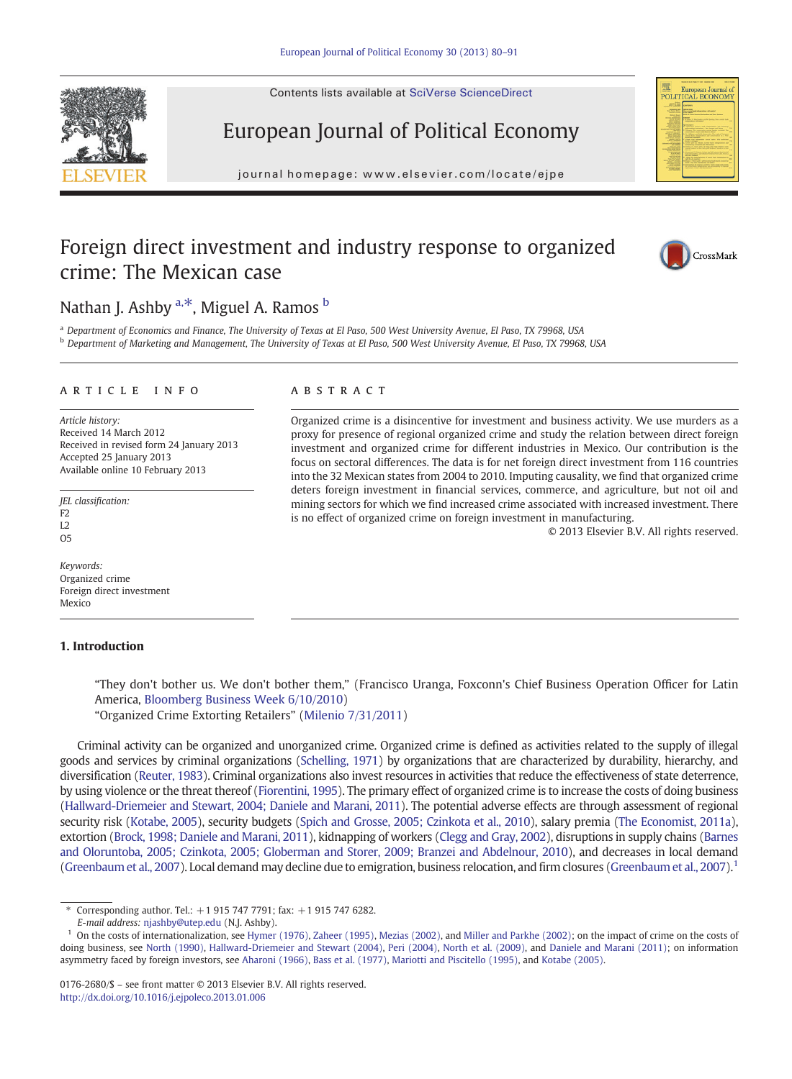Contents lists available at SciVerse ScienceDirect

# European Journal of Political Economy

journal homepage: www.elsevier.com/locate/ejpeer.com/locate/ejpeer.com/locate/ejpeer.com/locate/ejpeer.com/locate/ejpeer.com/locate/ejpeer.com/locate/ejpeer.com/locate/ejpeer.com/locate/ejpeer.com/locate/ejpeer.com/locate

# Foreign direct investment and industry response to organized crime: The Mexican case



<sup>a</sup> Department of Economics and Finance, The University of Texas at El Paso, 500 West University Avenue, El Paso, TX 79968, USA **b** Department of Marketing and Management, The University of Texas at El Paso, 500 West University Avenue, El Paso, TX 79968, USA

## article info abstract

Article history: Received 14 March 2012 Received in revised form 24 January 2013 Accepted 25 January 2013 Available online 10 February 2013

JEL classification:  $F2$ L2  $O<sub>5</sub>$ 

Keywords: Organized crime Foreign direct investment Mexico

#### 1. Introduction

Organized crime is a disincentive for investment and business activity. We use murders as a proxy for presence of regional organized crime and study the relation between direct foreign investment and organized crime for different industries in Mexico. Our contribution is the focus on sectoral differences. The data is for net foreign direct investment from 116 countries into the 32 Mexican states from 2004 to 2010. Imputing causality, we find that organized crime deters foreign investment in financial services, commerce, and agriculture, but not oil and mining sectors for which we find increased crime associated with increased investment. There is no effect of organized crime on foreign investment in manufacturing.

© 2013 Elsevier B.V. All rights reserved.

"They don't bother us. We don't bother them," (Francisco Uranga, Foxconn's Chief Business Operation Officer for Latin America, [Bloomberg Business Week 6/10/2010\)](#page--1-0) "Organized Crime Extorting Retailers" [\(Milenio 7/31/2011\)](#page--1-0)

Criminal activity can be organized and unorganized crime. Organized crime is defined as activities related to the supply of illegal goods and services by criminal organizations ([Schelling, 1971\)](#page--1-0) by organizations that are characterized by durability, hierarchy, and diversification [\(Reuter, 1983](#page--1-0)). Criminal organizations also invest resources in activities that reduce the effectiveness of state deterrence, by using violence or the threat thereof ([Fiorentini, 1995\)](#page--1-0). The primary effect of organized crime is to increase the costs of doing business ([Hallward-Driemeier and Stewart, 2004; Daniele and Marani, 2011](#page--1-0)). The potential adverse effects are through assessment of regional security risk ([Kotabe, 2005](#page--1-0)), security budgets [\(Spich and Grosse, 2005; Czinkota et al., 2010](#page--1-0)), salary premia [\(The Economist, 2011a](#page--1-0)), extortion [\(Brock, 1998; Daniele and Marani, 2011](#page--1-0)), kidnapping of workers [\(Clegg and Gray, 2002](#page--1-0)), disruptions in supply chains [\(Barnes](#page--1-0) [and Oloruntoba, 2005; Czinkota, 2005; Globerman and Storer, 2009; Branzei and Abdelnour, 2010](#page--1-0)), and decreases in local demand ([Greenbaum et al., 2007\)](#page--1-0). Local demand may decline due to emigration, business relocation, and firm closures [\(Greenbaum et al., 2007\)](#page--1-0).<sup>1</sup>







<sup>⁎</sup> Corresponding author. Tel.: +1 915 747 7791; fax: +1 915 747 6282.

E-mail address: [njashby@utep.edu](mailto:njashby@utep.edu) (N.J. Ashby).

 $<sup>1</sup>$  On the costs of internationalization, see [Hymer \(1976\)](#page--1-0), [Zaheer \(1995\)](#page--1-0), [Mezias \(2002\),](#page--1-0) and [Miller and Parkhe \(2002\);](#page--1-0) on the impact of crime on the costs of</sup> doing business, see [North \(1990\)](#page--1-0), [Hallward-Driemeier and Stewart \(2004\)](#page--1-0), [Peri \(2004\),](#page--1-0) [North et al. \(2009\),](#page--1-0) and [Daniele and Marani \(2011\);](#page--1-0) on information asymmetry faced by foreign investors, see [Aharoni \(1966\),](#page--1-0) [Bass et al. \(1977\)](#page--1-0), [Mariotti and Piscitello \(1995\)](#page--1-0), and [Kotabe \(2005\).](#page--1-0)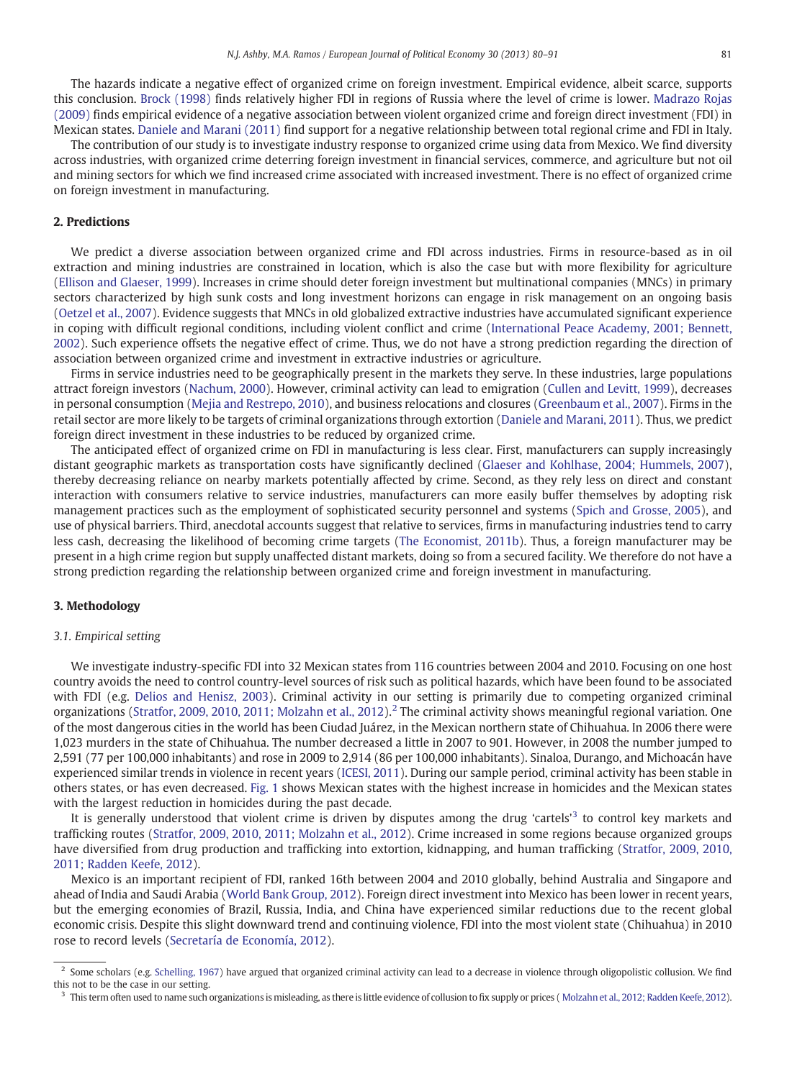The hazards indicate a negative effect of organized crime on foreign investment. Empirical evidence, albeit scarce, supports this conclusion. [Brock \(1998\)](#page--1-0) finds relatively higher FDI in regions of Russia where the level of crime is lower. [Madrazo Rojas](#page--1-0) [\(2009\)](#page--1-0) finds empirical evidence of a negative association between violent organized crime and foreign direct investment (FDI) in Mexican states. [Daniele and Marani \(2011\)](#page--1-0) find support for a negative relationship between total regional crime and FDI in Italy.

The contribution of our study is to investigate industry response to organized crime using data from Mexico. We find diversity across industries, with organized crime deterring foreign investment in financial services, commerce, and agriculture but not oil and mining sectors for which we find increased crime associated with increased investment. There is no effect of organized crime on foreign investment in manufacturing.

# 2. Predictions

We predict a diverse association between organized crime and FDI across industries. Firms in resource-based as in oil extraction and mining industries are constrained in location, which is also the case but with more flexibility for agriculture [\(Ellison and Glaeser, 1999\)](#page--1-0). Increases in crime should deter foreign investment but multinational companies (MNCs) in primary sectors characterized by high sunk costs and long investment horizons can engage in risk management on an ongoing basis [\(Oetzel et al., 2007](#page--1-0)). Evidence suggests that MNCs in old globalized extractive industries have accumulated significant experience in coping with difficult regional conditions, including violent conflict and crime ([International Peace Academy, 2001; Bennett,](#page--1-0) [2002](#page--1-0)). Such experience offsets the negative effect of crime. Thus, we do not have a strong prediction regarding the direction of association between organized crime and investment in extractive industries or agriculture.

Firms in service industries need to be geographically present in the markets they serve. In these industries, large populations attract foreign investors ([Nachum, 2000\)](#page--1-0). However, criminal activity can lead to emigration [\(Cullen and Levitt, 1999](#page--1-0)), decreases in personal consumption ([Mejia and Restrepo, 2010\)](#page--1-0), and business relocations and closures [\(Greenbaum et al., 2007](#page--1-0)). Firms in the retail sector are more likely to be targets of criminal organizations through extortion ([Daniele and Marani, 2011\)](#page--1-0). Thus, we predict foreign direct investment in these industries to be reduced by organized crime.

The anticipated effect of organized crime on FDI in manufacturing is less clear. First, manufacturers can supply increasingly distant geographic markets as transportation costs have significantly declined ([Glaeser and Kohlhase, 2004; Hummels, 2007\)](#page--1-0), thereby decreasing reliance on nearby markets potentially affected by crime. Second, as they rely less on direct and constant interaction with consumers relative to service industries, manufacturers can more easily buffer themselves by adopting risk management practices such as the employment of sophisticated security personnel and systems [\(Spich and Grosse, 2005\)](#page--1-0), and use of physical barriers. Third, anecdotal accounts suggest that relative to services, firms in manufacturing industries tend to carry less cash, decreasing the likelihood of becoming crime targets ([The Economist, 2011b\)](#page--1-0). Thus, a foreign manufacturer may be present in a high crime region but supply unaffected distant markets, doing so from a secured facility. We therefore do not have a strong prediction regarding the relationship between organized crime and foreign investment in manufacturing.

## 3. Methodology

## 3.1. Empirical setting

We investigate industry-specific FDI into 32 Mexican states from 116 countries between 2004 and 2010. Focusing on one host country avoids the need to control country-level sources of risk such as political hazards, which have been found to be associated with FDI (e.g. [Delios and Henisz, 2003\)](#page--1-0). Criminal activity in our setting is primarily due to competing organized criminal organizations ([Stratfor, 2009, 2010, 2011; Molzahn et al., 2012\)](#page--1-0).<sup>2</sup> The criminal activity shows meaningful regional variation. One of the most dangerous cities in the world has been Ciudad Juárez, in the Mexican northern state of Chihuahua. In 2006 there were 1,023 murders in the state of Chihuahua. The number decreased a little in 2007 to 901. However, in 2008 the number jumped to 2,591 (77 per 100,000 inhabitants) and rose in 2009 to 2,914 (86 per 100,000 inhabitants). Sinaloa, Durango, and Michoacán have experienced similar trends in violence in recent years ([ICESI, 2011\)](#page--1-0). During our sample period, criminal activity has been stable in others states, or has even decreased. [Fig. 1](#page--1-0) shows Mexican states with the highest increase in homicides and the Mexican states with the largest reduction in homicides during the past decade.

It is generally understood that violent crime is driven by disputes among the drug 'cartels'<sup>3</sup> to control key markets and trafficking routes [\(Stratfor, 2009, 2010, 2011; Molzahn et al., 2012](#page--1-0)). Crime increased in some regions because organized groups have diversified from drug production and trafficking into extortion, kidnapping, and human trafficking ([Stratfor, 2009, 2010,](#page--1-0) [2011; Radden Keefe, 2012](#page--1-0)).

Mexico is an important recipient of FDI, ranked 16th between 2004 and 2010 globally, behind Australia and Singapore and ahead of India and Saudi Arabia ([World Bank Group, 2012](#page--1-0)). Foreign direct investment into Mexico has been lower in recent years, but the emerging economies of Brazil, Russia, India, and China have experienced similar reductions due to the recent global economic crisis. Despite this slight downward trend and continuing violence, FDI into the most violent state (Chihuahua) in 2010 rose to record levels ([Secretaría de Economía, 2012](#page--1-0)).

<sup>&</sup>lt;sup>2</sup> Some scholars (e.g. [Schelling, 1967\)](#page--1-0) have argued that organized criminal activity can lead to a decrease in violence through oligopolistic collusion. We find this not to be the case in our setting.

<sup>&</sup>lt;sup>3</sup> This term often used to name such organizations is misleading, as there is little evidence of collusion to fix supply or prices ([Molzahn et al., 2012; Radden Keefe, 2012](#page--1-0)).